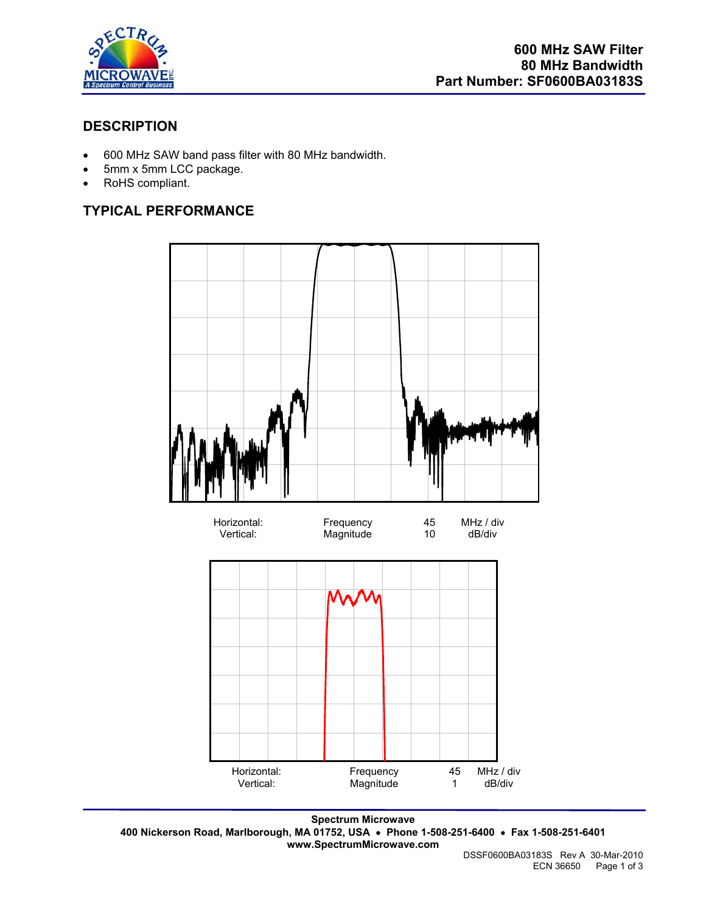

## **DESCRIPTION**

- 600 MHz SAW band pass filter with 80 MHz bandwidth.
- 5mm x 5mm LCC package.
- RoHS compliant.

# **TYPICAL PERFORMANCE**



**Spectrum Microwave 400 Nickerson Road, Marlborough, MA 01752, USA** • **Phone 1-508-251-6400** • **Fax 1-508-251-6401 www.SpectrumMicrowave.com**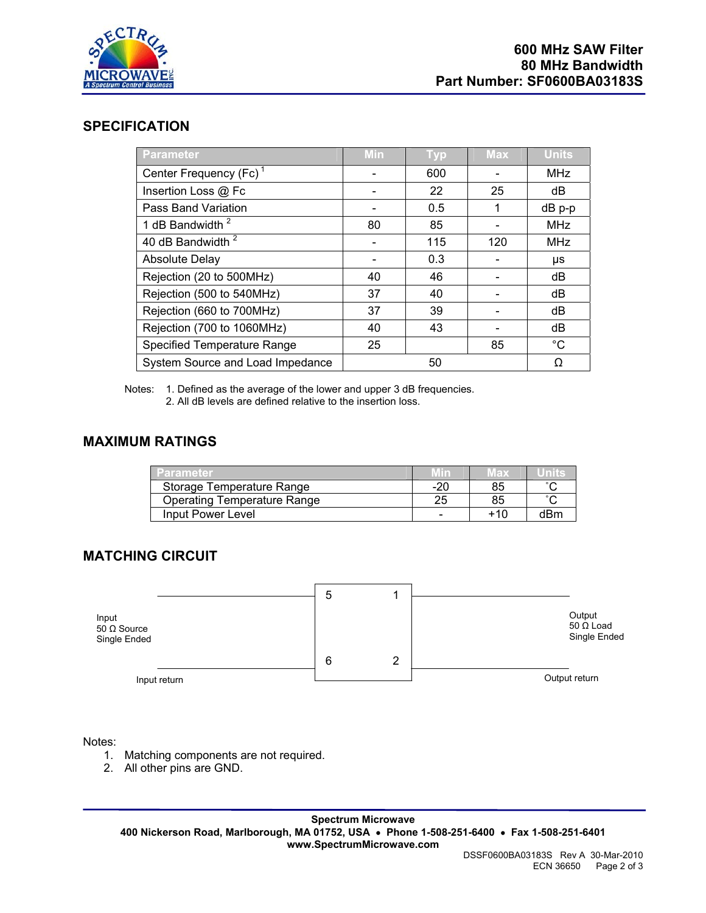

#### **SPECIFICATION**

| <b>Parameter</b>                   | Min | <b>Typ</b> | <b>Max</b> | <b>Units</b> |
|------------------------------------|-----|------------|------------|--------------|
| Center Frequency (Fc) <sup>1</sup> |     | 600        |            | <b>MHz</b>   |
| Insertion Loss @ Fc                |     | 22         | 25         | dB           |
| Pass Band Variation                |     | 0.5        |            | $dB$ p-p     |
| 1 dB Bandwidth <sup>2</sup>        | 80  | 85         |            | <b>MHz</b>   |
| 40 dB Bandwidth <sup>2</sup>       |     | 115        | 120        | <b>MHz</b>   |
| <b>Absolute Delay</b>              |     | 0.3        |            | μs           |
| Rejection (20 to 500MHz)           | 40  | 46         |            | dB           |
| Rejection (500 to 540MHz)          | 37  | 40         |            | dB           |
| Rejection (660 to 700MHz)          | 37  | 39         |            | dB           |
| Rejection (700 to 1060MHz)         | 40  | 43         |            | dB           |
| <b>Specified Temperature Range</b> | 25  |            | 85         | $^{\circ}C$  |
| System Source and Load Impedance   |     | 50         |            | Ω            |

Notes: 1. Defined as the average of the lower and upper 3 dB frequencies.

2. All dB levels are defined relative to the insertion loss.

### **MAXIMUM RATINGS**

| Parameter                          |     | 13 X |                       |
|------------------------------------|-----|------|-----------------------|
| Storage Temperature Range          | -20 | 85   | $\sim$                |
| <b>Operating Temperature Range</b> |     | 85   | $\tilde{\phantom{a}}$ |
| Input Power Level                  |     | +10  | dRm                   |

# **MATCHING CIRCUIT**

|                                             | 5 |   |                                            |
|---------------------------------------------|---|---|--------------------------------------------|
| Input<br>$50 \Omega$ Source<br>Single Ended |   |   | Output<br>$50 \Omega$ Load<br>Single Ended |
|                                             | 6 | 2 |                                            |
| Input return                                |   |   | Output return                              |

Notes:

- 1. Matching components are not required.
- 2. All other pins are GND.